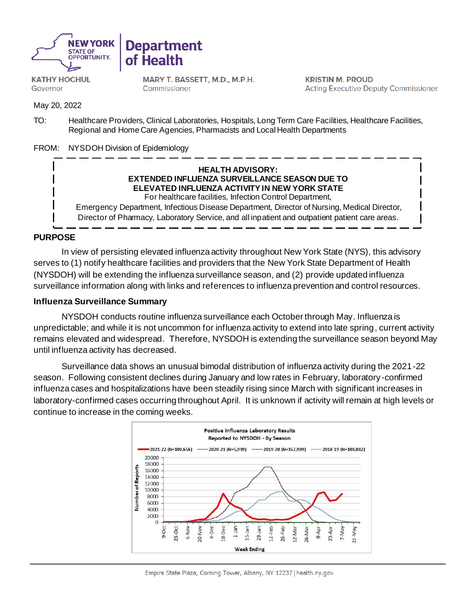



**KATHY HOCHUL** Governor

MARY T. BASSETT, M.D., M.P.H. Commissioner

**KRISTIN M. PROUD Acting Executive Deputy Commissioner** 

May 20, 2022

TO: Healthcare Providers, Clinical Laboratories, Hospitals, Long Term Care Facilities, Healthcare Facilities, Regional and Home Care Agencies, Pharmacists and Local Health Departments

FROM: NYSDOH Division of Epidemiology

#### **HEALTH ADVISORY: EXTENDED INFLUENZA SURVEILLANCE SEASON DUE TO ELEVATED INFLUENZA ACTIVITY IN NEW YORK STATE**  For healthcare facilities, Infection Control Department,

Emergency Department, Infectious Disease Department, Director of Nursing, Medical Director, Director of Pharmacy, Laboratory Service, and all inpatient and outpatient patient care areas.

### **PURPOSE**

In view of persisting elevated influenza activity throughout New York State (NYS), this advisory serves to (1) notify healthcare facilities and providers that the New York State Department of Health (NYSDOH) will be extending the influenza surveillance season, and (2) provide updated influenza surveillance information along with links and references to influenza prevention and control resources.

### **Influenza Surveillance Summary**

NYSDOH conducts routine influenza surveillance each October through May. Influenza is unpredictable; and while it is not uncommon for influenza activity to extend into late spring, current activity remains elevated and widespread. Therefore, NYSDOH is extending the surveillance season beyond May until influenza activity has decreased.

Surveillance data shows an unusual bimodal distribution of influenza activity during the 2021-22 season. Following consistent declines during January and low rates in February, laboratory-confirmed influenza cases and hospitalizations have been steadily rising since March with significant increases in laboratory-confirmed cases occurring throughout April. It is unknown if activity will remain at high levels or continue to increase in the coming weeks.